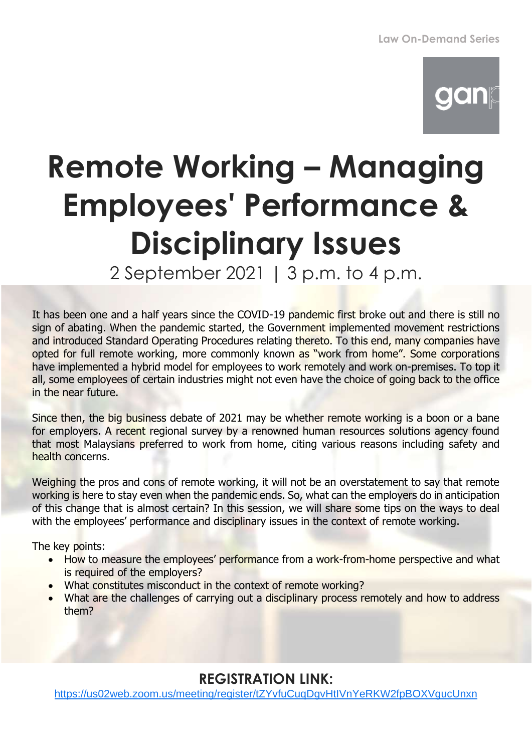## gan

## **Remote Working – Managing Employees' Performance & Disciplinary Issues**

2 September 2021 | 3 p.m. to 4 p.m.

It has been one and a half years since the COVID-19 pandemic first broke out and there is still no sign of abating. When the pandemic started, the Government implemented movement restrictions and introduced Standard Operating Procedures relating thereto. To this end, many companies have opted for full remote working, more commonly known as "work from home". Some corporations have implemented a hybrid model for employees to work remotely and work on-premises. To top it all, some employees of certain industries might not even have the choice of going back to the office in the near future.

Since then, the big business debate of 2021 may be whether remote working is a boon or a bane for employers. A recent regional survey by a renowned human resources solutions agency found that most Malaysians preferred to work from home, citing various reasons including safety and health concerns.

Weighing the pros and cons of remote working, it will not be an overstatement to say that remote working is here to stay even when the pandemic ends. So, what can the employers do in anticipation of this change that is almost certain? In this session, we will share some tips on the ways to deal with the employees' performance and disciplinary issues in the context of remote working.

The key points:

- How to measure the employees' performance from a work-from-home perspective and what is required of the employers?
- What constitutes misconduct in the context of remote working?
- What are the challenges of carrying out a disciplinary process remotely and how to address them?

## **REGISTRATION LINK:**